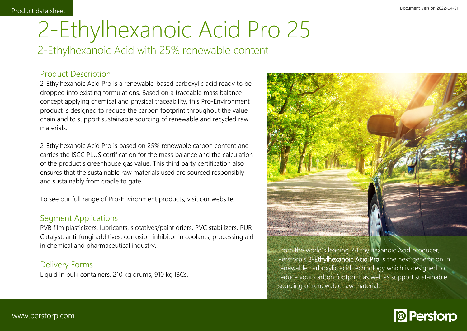# 2-Ethylhexanoic Acid Pro 25 2-Ethylhexanoic Acid with 25% renewable content

## Product Description

2-Ethylhexanoic Acid Pro is a renewable-based carboxylic acid ready to be dropped into existing formulations. Based on a traceable mass balance concept applying chemical and physical traceability, this Pro-Environment product is designed to reduce the carbon footprint throughout the value chain and to support sustainable sourcing of renewable and recycled raw materials.

2-Ethylhexanoic Acid Pro is based on 25% renewable carbon content and carries the ISCC PLUS certification for the mass balance and the calculation of the product's greenhouse gas value. This third party certification also ensures that the sustainable raw materials used are sourced responsibly and sustainably from cradle to gate.

To see our full range of Pro-Environment products, visit our website.

### Segment Applications

PVB film plasticizers, lubricants, siccatives/paint driers, PVC stabilizers, PUR Catalyst, anti-fungi additives, corrosion inhibitor in coolants, processing aid in chemical and pharmaceutical industry.

### Delivery Forms

Liquid in bulk containers, 210 kg drums, 910 kg IBCs.



From the world's leading 2-Ethylhexanoic Acid producer, Perstorp's **2-Ethylhexanoic Acid Pro** is the next generation in renewable carboxylic acid technology which is designed to reduce your carbon footprint as well as support sustainable sourcing of renewable raw material.